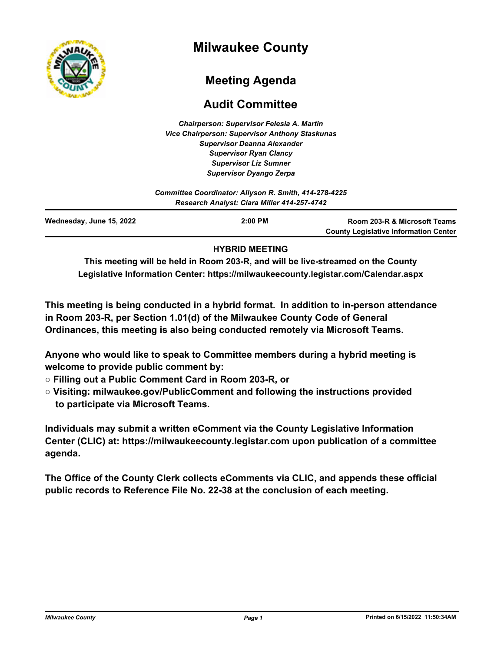

# **Milwaukee County**

# **Meeting Agenda**

# **Audit Committee**

*Chairperson: Supervisor Felesia A. Martin Vice Chairperson: Supervisor Anthony Staskunas Supervisor Deanna Alexander Supervisor Ryan Clancy Supervisor Liz Sumner Supervisor Dyango Zerpa*

| Committee Coordinator: Allyson R. Smith, 414-278-4225<br>Research Analyst: Ciara Miller 414-257-4742 |           |                                                                              |
|------------------------------------------------------------------------------------------------------|-----------|------------------------------------------------------------------------------|
| Wednesday, June 15, 2022                                                                             | $2:00$ PM | Room 203-R & Microsoft Teams<br><b>County Legislative Information Center</b> |

### **HYBRID MEETING**

**This meeting will be held in Room 203-R, and will be live-streamed on the County Legislative Information Center: https://milwaukeecounty.legistar.com/Calendar.aspx**

**This meeting is being conducted in a hybrid format. In addition to in-person attendance in Room 203-R, per Section 1.01(d) of the Milwaukee County Code of General Ordinances, this meeting is also being conducted remotely via Microsoft Teams.**

**Anyone who would like to speak to Committee members during a hybrid meeting is welcome to provide public comment by:**

- **Filling out a Public Comment Card in Room 203-R, or**
- **Visiting: milwaukee.gov/PublicComment and following the instructions provided to participate via Microsoft Teams.**

**Individuals may submit a written eComment via the County Legislative Information Center (CLIC) at: https://milwaukeecounty.legistar.com upon publication of a committee agenda.**

**The Office of the County Clerk collects eComments via CLIC, and appends these official public records to Reference File No. 22-38 at the conclusion of each meeting.**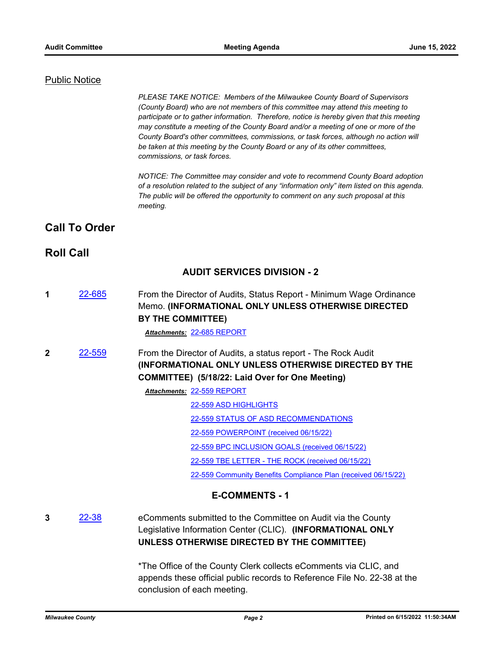#### Public Notice

*PLEASE TAKE NOTICE: Members of the Milwaukee County Board of Supervisors (County Board) who are not members of this committee may attend this meeting to participate or to gather information. Therefore, notice is hereby given that this meeting may constitute a meeting of the County Board and/or a meeting of one or more of the County Board's other committees, commissions, or task forces, although no action will be taken at this meeting by the County Board or any of its other committees, commissions, or task forces.*

*NOTICE: The Committee may consider and vote to recommend County Board adoption of a resolution related to the subject of any "information only" item listed on this agenda. The public will be offered the opportunity to comment on any such proposal at this meeting.*

## **Call To Order**

### **Roll Call**

### **AUDIT SERVICES DIVISION - 2**

**1** [22-685](http://milwaukeecounty.legistar.com/gateway.aspx?m=l&id=/matter.aspx?key=12384) From the Director of Audits, Status Report - Minimum Wage Ordinance Memo. **(INFORMATIONAL ONLY UNLESS OTHERWISE DIRECTED BY THE COMMITTEE)** 

*Attachments:* [22-685 REPORT](http://MilwaukeeCounty.legistar.com/gateway.aspx?M=F&ID=f7dfda78-d9cd-44eb-8609-53d25dab4eb6.pdf)

**2** [22-559](http://milwaukeecounty.legistar.com/gateway.aspx?m=l&id=/matter.aspx?key=12219) From the Director of Audits, a status report - The Rock Audit **(INFORMATIONAL ONLY UNLESS OTHERWISE DIRECTED BY THE COMMITTEE) (5/18/22: Laid Over for One Meeting)**

[22-559 REPORT](http://MilwaukeeCounty.legistar.com/gateway.aspx?M=F&ID=746a744e-5042-4bd2-a7af-2958144a05ec.pdf) *Attachments:*

[22-559 ASD HIGHLIGHTS](http://MilwaukeeCounty.legistar.com/gateway.aspx?M=F&ID=86b7d9ff-1673-469a-9f99-4286f3819a35.pdf)

- [22-559 STATUS OF ASD RECOMMENDATIONS](http://MilwaukeeCounty.legistar.com/gateway.aspx?M=F&ID=ebf3c4b8-b267-4175-9b70-ceadbcae4900.pdf)
- [22-559 POWERPOINT \(received 06/15/22\)](http://MilwaukeeCounty.legistar.com/gateway.aspx?M=F&ID=e2ac1b56-5eed-4c72-b0e1-a625968988e0.pdf)

[22-559 BPC INCLUSION GOALS \(received 06/15/22\)](http://MilwaukeeCounty.legistar.com/gateway.aspx?M=F&ID=baa53015-838b-4d04-b3de-7d796c76e91f.pdf)

[22-559 TBE LETTER - THE ROCK \(received 06/15/22\)](http://MilwaukeeCounty.legistar.com/gateway.aspx?M=F&ID=d34e73bc-c9f5-4f1d-b9d3-64cc3dc41afe.pdf)

[22-559 Community Benefits Compliance Plan \(received 06/15/22\)](http://MilwaukeeCounty.legistar.com/gateway.aspx?M=F&ID=f3f657b0-6b72-4130-8024-0a8fd7134615.pdf)

### **E-COMMENTS - 1**

**3** [22-38](http://milwaukeecounty.legistar.com/gateway.aspx?m=l&id=/matter.aspx?key=11860) eComments submitted to the Committee on Audit via the County Legislative Information Center (CLIC). **(INFORMATIONAL ONLY UNLESS OTHERWISE DIRECTED BY THE COMMITTEE)**

> \*The Office of the County Clerk collects eComments via CLIC, and appends these official public records to Reference File No. 22-38 at the conclusion of each meeting.